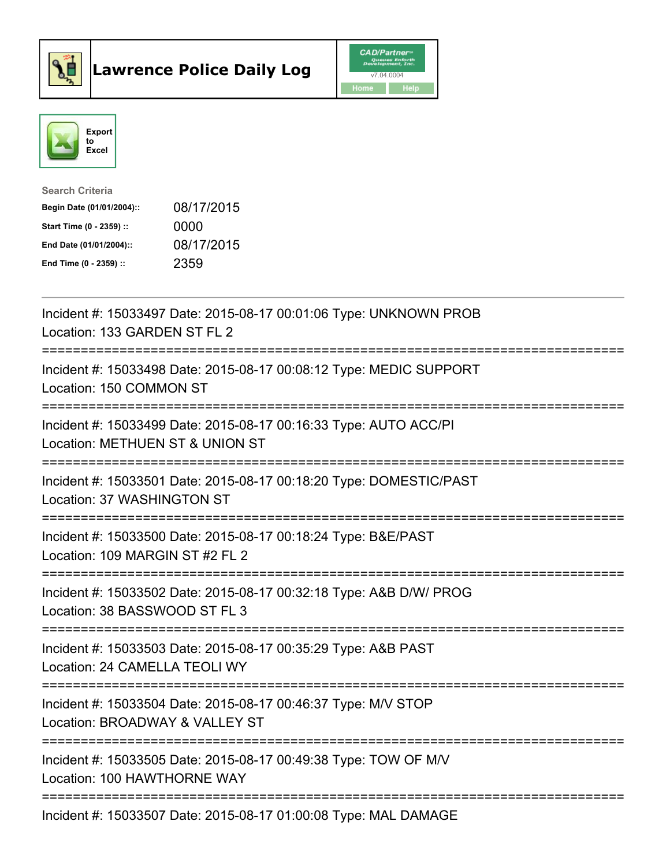



| <b>Search Criteria</b>    |            |
|---------------------------|------------|
| Begin Date (01/01/2004):: | 08/17/2015 |
| Start Time (0 - 2359) ::  | 0000       |
| End Date (01/01/2004)::   | 08/17/2015 |
| End Time $(0 - 2359)$ :   | 2359       |

| Incident #: 15033497 Date: 2015-08-17 00:01:06 Type: UNKNOWN PROB<br>Location: 133 GARDEN ST FL 2<br>.-------------         |
|-----------------------------------------------------------------------------------------------------------------------------|
| Incident #: 15033498 Date: 2015-08-17 00:08:12 Type: MEDIC SUPPORT<br>Location: 150 COMMON ST                               |
| Incident #: 15033499 Date: 2015-08-17 00:16:33 Type: AUTO ACC/PI<br>Location: METHUEN ST & UNION ST                         |
| Incident #: 15033501 Date: 2015-08-17 00:18:20 Type: DOMESTIC/PAST<br>Location: 37 WASHINGTON ST                            |
| Incident #: 15033500 Date: 2015-08-17 00:18:24 Type: B&E/PAST<br>Location: 109 MARGIN ST #2 FL 2<br>======================= |
| Incident #: 15033502 Date: 2015-08-17 00:32:18 Type: A&B D/W/ PROG<br>Location: 38 BASSWOOD ST FL 3                         |
| Incident #: 15033503 Date: 2015-08-17 00:35:29 Type: A&B PAST<br>Location: 24 CAMELLA TEOLI WY                              |
| Incident #: 15033504 Date: 2015-08-17 00:46:37 Type: M/V STOP<br>Location: BROADWAY & VALLEY ST                             |
| Incident #: 15033505 Date: 2015-08-17 00:49:38 Type: TOW OF M/V<br>Location: 100 HAWTHORNE WAY                              |
| Incident #: 15033507 Date: 2015-08-17 01:00:08 Type: MAL DAMAGE                                                             |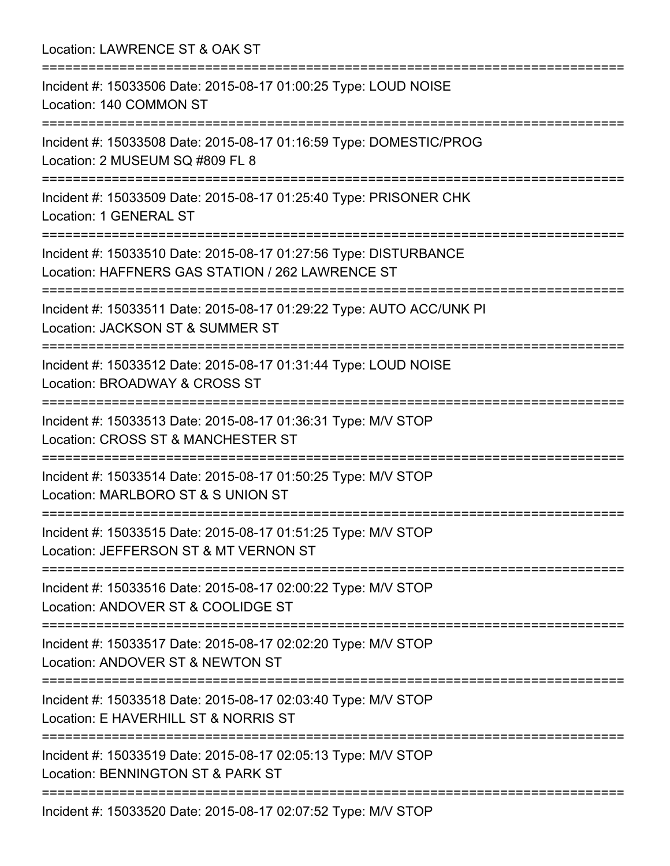Location: LAWRENCE ST & OAK ST =========================================================================== Incident #: 15033506 Date: 2015-08-17 01:00:25 Type: LOUD NOISE Location: 140 COMMON ST =========================================================================== Incident #: 15033508 Date: 2015-08-17 01:16:59 Type: DOMESTIC/PROG Location: 2 MUSEUM SQ #809 FL 8 =========================================================================== Incident #: 15033509 Date: 2015-08-17 01:25:40 Type: PRISONER CHK Location: 1 GENERAL ST =========================================================================== Incident #: 15033510 Date: 2015-08-17 01:27:56 Type: DISTURBANCE Location: HAFFNERS GAS STATION / 262 LAWRENCE ST =========================================================================== Incident #: 15033511 Date: 2015-08-17 01:29:22 Type: AUTO ACC/UNK PI Location: JACKSON ST & SUMMER ST =========================================================================== Incident #: 15033512 Date: 2015-08-17 01:31:44 Type: LOUD NOISE Location: BROADWAY & CROSS ST =========================================================================== Incident #: 15033513 Date: 2015-08-17 01:36:31 Type: M/V STOP Location: CROSS ST & MANCHESTER ST =========================================================================== Incident #: 15033514 Date: 2015-08-17 01:50:25 Type: M/V STOP Location: MARLBORO ST & S UNION ST =========================================================================== Incident #: 15033515 Date: 2015-08-17 01:51:25 Type: M/V STOP Location: JEFFERSON ST & MT VERNON ST =========================================================================== Incident #: 15033516 Date: 2015-08-17 02:00:22 Type: M/V STOP Location: ANDOVER ST & COOLIDGE ST =========================================================================== Incident #: 15033517 Date: 2015-08-17 02:02:20 Type: M/V STOP Location: ANDOVER ST & NEWTON ST =========================================================================== Incident #: 15033518 Date: 2015-08-17 02:03:40 Type: M/V STOP Location: E HAVERHILL ST & NORRIS ST =========================================================================== Incident #: 15033519 Date: 2015-08-17 02:05:13 Type: M/V STOP Location: BENNINGTON ST & PARK ST =========================================================================== Incident #: 15033520 Date: 2015-08-17 02:07:52 Type: M/V STOP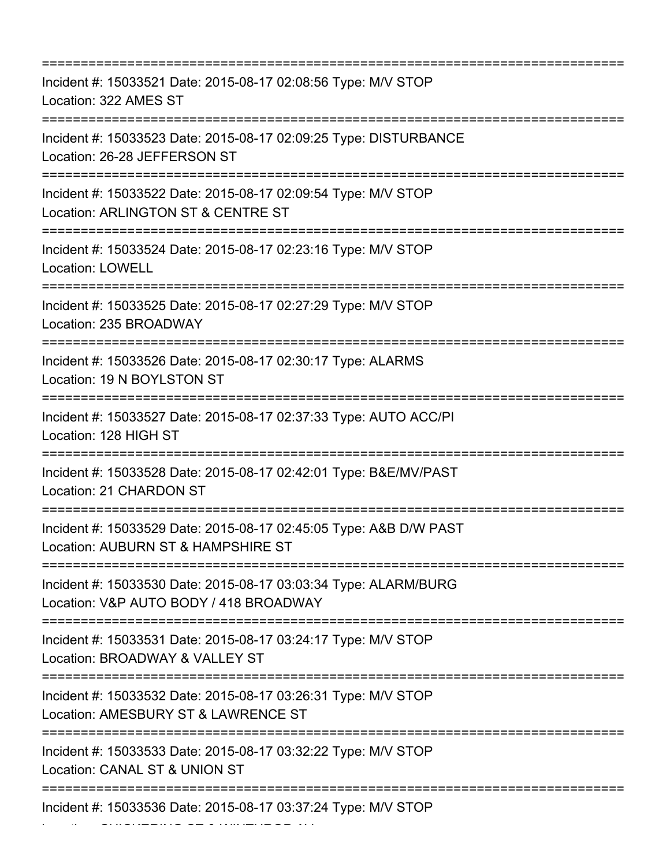| Incident #: 15033521 Date: 2015-08-17 02:08:56 Type: M/V STOP<br>Location: 322 AMES ST<br>:=================================== |
|--------------------------------------------------------------------------------------------------------------------------------|
| Incident #: 15033523 Date: 2015-08-17 02:09:25 Type: DISTURBANCE<br>Location: 26-28 JEFFERSON ST                               |
| Incident #: 15033522 Date: 2015-08-17 02:09:54 Type: M/V STOP<br>Location: ARLINGTON ST & CENTRE ST                            |
| Incident #: 15033524 Date: 2015-08-17 02:23:16 Type: M/V STOP<br><b>Location: LOWELL</b>                                       |
| Incident #: 15033525 Date: 2015-08-17 02:27:29 Type: M/V STOP<br>Location: 235 BROADWAY                                        |
| Incident #: 15033526 Date: 2015-08-17 02:30:17 Type: ALARMS<br>Location: 19 N BOYLSTON ST                                      |
| Incident #: 15033527 Date: 2015-08-17 02:37:33 Type: AUTO ACC/PI<br>Location: 128 HIGH ST                                      |
| Incident #: 15033528 Date: 2015-08-17 02:42:01 Type: B&E/MV/PAST<br>Location: 21 CHARDON ST                                    |
| Incident #: 15033529 Date: 2015-08-17 02:45:05 Type: A&B D/W PAST<br>Location: AUBURN ST & HAMPSHIRE ST                        |
| Incident #: 15033530 Date: 2015-08-17 03:03:34 Type: ALARM/BURG<br>Location: V&P AUTO BODY / 418 BROADWAY                      |
| Incident #: 15033531 Date: 2015-08-17 03:24:17 Type: M/V STOP<br>Location: BROADWAY & VALLEY ST                                |
| Incident #: 15033532 Date: 2015-08-17 03:26:31 Type: M/V STOP<br>Location: AMESBURY ST & LAWRENCE ST                           |
| Incident #: 15033533 Date: 2015-08-17 03:32:22 Type: M/V STOP<br>Location: CANAL ST & UNION ST                                 |
| Incident #: 15033536 Date: 2015-08-17 03:37:24 Type: M/V STOP                                                                  |

Location: CHICKERING ST & WINTHROP AV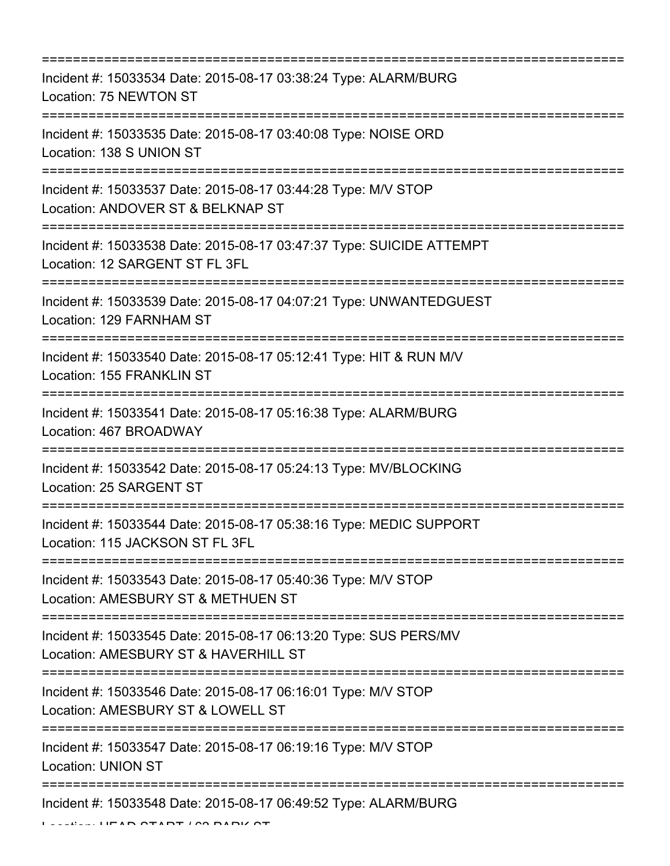| Incident #: 15033534 Date: 2015-08-17 03:38:24 Type: ALARM/BURG<br>Location: 75 NEWTON ST                                                  |
|--------------------------------------------------------------------------------------------------------------------------------------------|
| Incident #: 15033535 Date: 2015-08-17 03:40:08 Type: NOISE ORD<br>Location: 138 S UNION ST                                                 |
| Incident #: 15033537 Date: 2015-08-17 03:44:28 Type: M/V STOP<br>Location: ANDOVER ST & BELKNAP ST                                         |
| Incident #: 15033538 Date: 2015-08-17 03:47:37 Type: SUICIDE ATTEMPT<br>Location: 12 SARGENT ST FL 3FL                                     |
| Incident #: 15033539 Date: 2015-08-17 04:07:21 Type: UNWANTEDGUEST<br>Location: 129 FARNHAM ST                                             |
| Incident #: 15033540 Date: 2015-08-17 05:12:41 Type: HIT & RUN M/V<br>Location: 155 FRANKLIN ST                                            |
| Incident #: 15033541 Date: 2015-08-17 05:16:38 Type: ALARM/BURG<br>Location: 467 BROADWAY                                                  |
| Incident #: 15033542 Date: 2015-08-17 05:24:13 Type: MV/BLOCKING<br>Location: 25 SARGENT ST                                                |
| Incident #: 15033544 Date: 2015-08-17 05:38:16 Type: MEDIC SUPPORT<br>Location: 115 JACKSON ST FL 3FL<br>--------------------------------- |
| Incident #: 15033543 Date: 2015-08-17 05:40:36 Type: M/V STOP<br>Location: AMESBURY ST & METHUEN ST                                        |
| Incident #: 15033545 Date: 2015-08-17 06:13:20 Type: SUS PERS/MV<br>Location: AMESBURY ST & HAVERHILL ST                                   |
| :===============================<br>Incident #: 15033546 Date: 2015-08-17 06:16:01 Type: M/V STOP<br>Location: AMESBURY ST & LOWELL ST     |
| Incident #: 15033547 Date: 2015-08-17 06:19:16 Type: M/V STOP<br><b>Location: UNION ST</b>                                                 |
| Incident #: 15033548 Date: 2015-08-17 06:49:52 Type: ALARM/BURG                                                                            |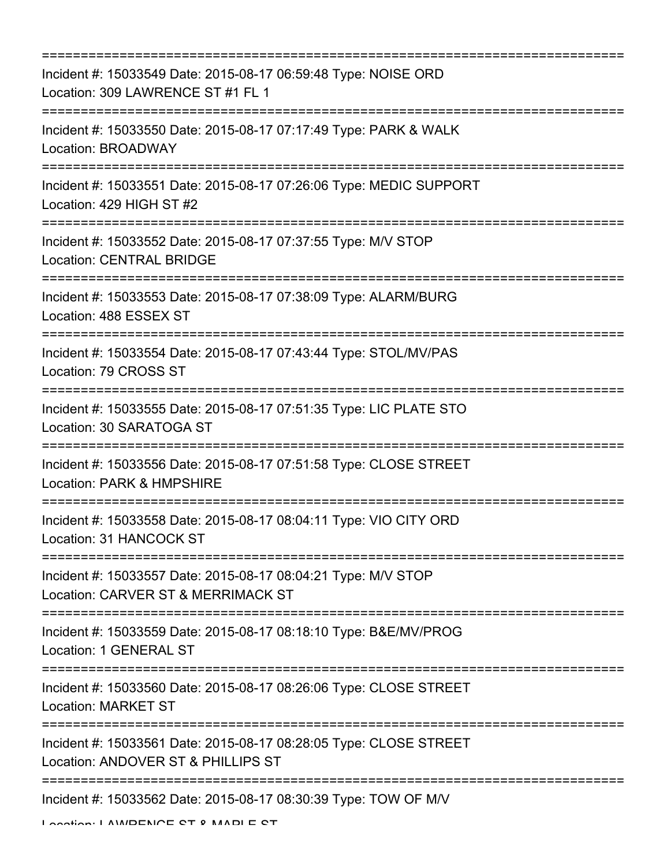| ==============================<br>=============================                                         |
|---------------------------------------------------------------------------------------------------------|
| Incident #: 15033549 Date: 2015-08-17 06:59:48 Type: NOISE ORD<br>Location: 309 LAWRENCE ST #1 FL 1     |
| Incident #: 15033550 Date: 2015-08-17 07:17:49 Type: PARK & WALK<br>Location: BROADWAY                  |
| Incident #: 15033551 Date: 2015-08-17 07:26:06 Type: MEDIC SUPPORT<br>Location: 429 HIGH ST #2          |
| Incident #: 15033552 Date: 2015-08-17 07:37:55 Type: M/V STOP<br><b>Location: CENTRAL BRIDGE</b>        |
| Incident #: 15033553 Date: 2015-08-17 07:38:09 Type: ALARM/BURG<br>Location: 488 ESSEX ST               |
| Incident #: 15033554 Date: 2015-08-17 07:43:44 Type: STOL/MV/PAS<br>Location: 79 CROSS ST               |
| Incident #: 15033555 Date: 2015-08-17 07:51:35 Type: LIC PLATE STO<br>Location: 30 SARATOGA ST          |
| Incident #: 15033556 Date: 2015-08-17 07:51:58 Type: CLOSE STREET<br>Location: PARK & HMPSHIRE          |
| Incident #: 15033558 Date: 2015-08-17 08:04:11 Type: VIO CITY ORD<br>Location: 31 HANCOCK ST            |
| Incident #: 15033557 Date: 2015-08-17 08:04:21 Type: M/V STOP<br>Location: CARVER ST & MERRIMACK ST     |
| Incident #: 15033559 Date: 2015-08-17 08:18:10 Type: B&E/MV/PROG<br>Location: 1 GENERAL ST              |
| Incident #: 15033560 Date: 2015-08-17 08:26:06 Type: CLOSE STREET<br><b>Location: MARKET ST</b>         |
| Incident #: 15033561 Date: 2015-08-17 08:28:05 Type: CLOSE STREET<br>Location: ANDOVER ST & PHILLIPS ST |
| Incident #: 15033562 Date: 2015-08-17 08:30:39 Type: TOW OF M/V                                         |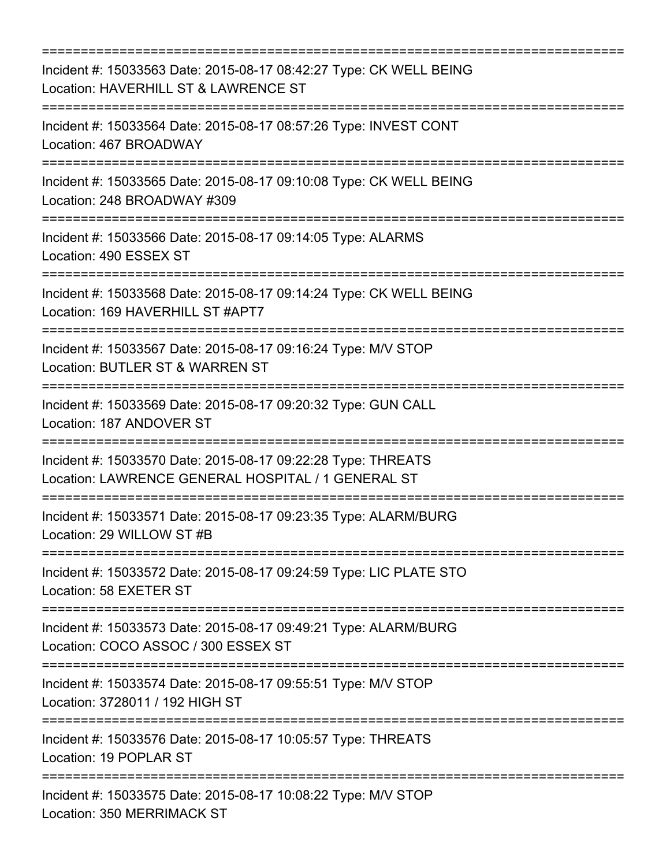| Incident #: 15033563 Date: 2015-08-17 08:42:27 Type: CK WELL BEING<br>Location: HAVERHILL ST & LAWRENCE ST<br>:========================== |
|-------------------------------------------------------------------------------------------------------------------------------------------|
| Incident #: 15033564 Date: 2015-08-17 08:57:26 Type: INVEST CONT<br>Location: 467 BROADWAY                                                |
| Incident #: 15033565 Date: 2015-08-17 09:10:08 Type: CK WELL BEING<br>Location: 248 BROADWAY #309                                         |
| Incident #: 15033566 Date: 2015-08-17 09:14:05 Type: ALARMS<br>Location: 490 ESSEX ST                                                     |
| Incident #: 15033568 Date: 2015-08-17 09:14:24 Type: CK WELL BEING<br>Location: 169 HAVERHILL ST #APT7<br>:=========================      |
| Incident #: 15033567 Date: 2015-08-17 09:16:24 Type: M/V STOP<br>Location: BUTLER ST & WARREN ST                                          |
| ;=================================<br>Incident #: 15033569 Date: 2015-08-17 09:20:32 Type: GUN CALL<br>Location: 187 ANDOVER ST           |
| Incident #: 15033570 Date: 2015-08-17 09:22:28 Type: THREATS<br>Location: LAWRENCE GENERAL HOSPITAL / 1 GENERAL ST                        |
| Incident #: 15033571 Date: 2015-08-17 09:23:35 Type: ALARM/BURG<br>Location: 29 WILLOW ST #B                                              |
| Incident #: 15033572 Date: 2015-08-17 09:24:59 Type: LIC PLATE STO<br>Location: 58 EXETER ST                                              |
| Incident #: 15033573 Date: 2015-08-17 09:49:21 Type: ALARM/BURG<br>Location: COCO ASSOC / 300 ESSEX ST                                    |
| Incident #: 15033574 Date: 2015-08-17 09:55:51 Type: M/V STOP<br>Location: 3728011 / 192 HIGH ST                                          |
| Incident #: 15033576 Date: 2015-08-17 10:05:57 Type: THREATS<br>Location: 19 POPLAR ST                                                    |
| Incident #: 15033575 Date: 2015-08-17 10:08:22 Type: M/V STOP<br>Location: 350 MERRIMACK ST                                               |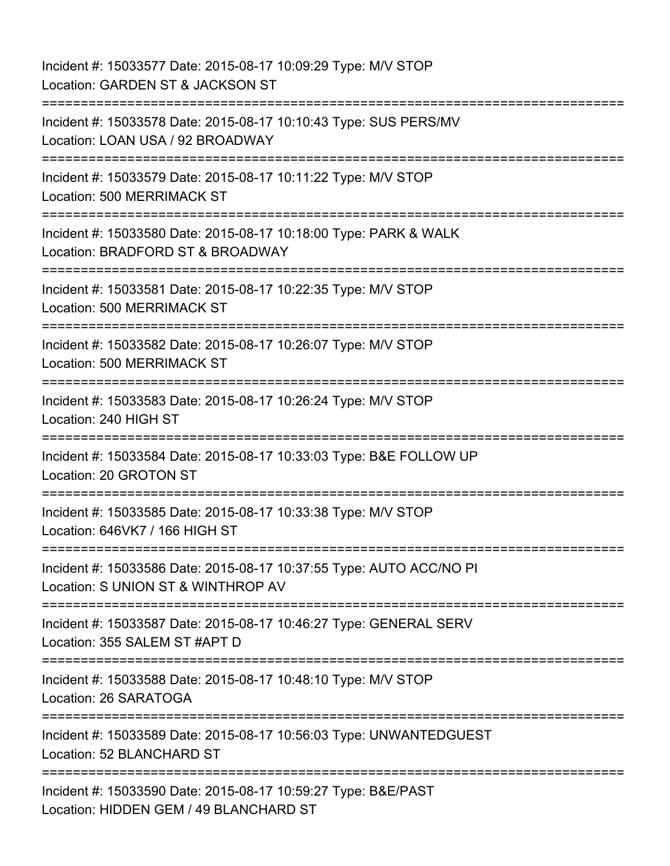Incident #: 15033577 Date: 2015-08-17 10:09:29 Type: M/V STOP Location: GARDEN ST & JACKSON ST =========================================================================== Incident #: 15033578 Date: 2015-08-17 10:10:43 Type: SUS PERS/MV Location: LOAN USA / 92 BROADWAY =========================================================================== Incident #: 15033579 Date: 2015-08-17 10:11:22 Type: M/V STOP Location: 500 MERRIMACK ST =========================================================================== Incident #: 15033580 Date: 2015-08-17 10:18:00 Type: PARK & WALK Location: BRADFORD ST & BROADWAY =========================================================================== Incident #: 15033581 Date: 2015-08-17 10:22:35 Type: M/V STOP Location: 500 MERRIMACK ST =========================================================================== Incident #: 15033582 Date: 2015-08-17 10:26:07 Type: M/V STOP Location: 500 MERRIMACK ST =========================================================================== Incident #: 15033583 Date: 2015-08-17 10:26:24 Type: M/V STOP Location: 240 HIGH ST =========================================================================== Incident #: 15033584 Date: 2015-08-17 10:33:03 Type: B&E FOLLOW UP Location: 20 GROTON ST =========================================================================== Incident #: 15033585 Date: 2015-08-17 10:33:38 Type: M/V STOP Location: 646VK7 / 166 HIGH ST =========================================================================== Incident #: 15033586 Date: 2015-08-17 10:37:55 Type: AUTO ACC/NO PI Location: S UNION ST & WINTHROP AV =========================================================================== Incident #: 15033587 Date: 2015-08-17 10:46:27 Type: GENERAL SERV Location: 355 SALEM ST #APT D =========================================================================== Incident #: 15033588 Date: 2015-08-17 10:48:10 Type: M/V STOP Location: 26 SARATOGA =========================================================================== Incident #: 15033589 Date: 2015-08-17 10:56:03 Type: UNWANTEDGUEST Location: 52 BLANCHARD ST ============================= Incident #: 15033590 Date: 2015-08-17 10:59:27 Type: B&E/PAST Location: HIDDEN GEM / 49 BLANCHARD ST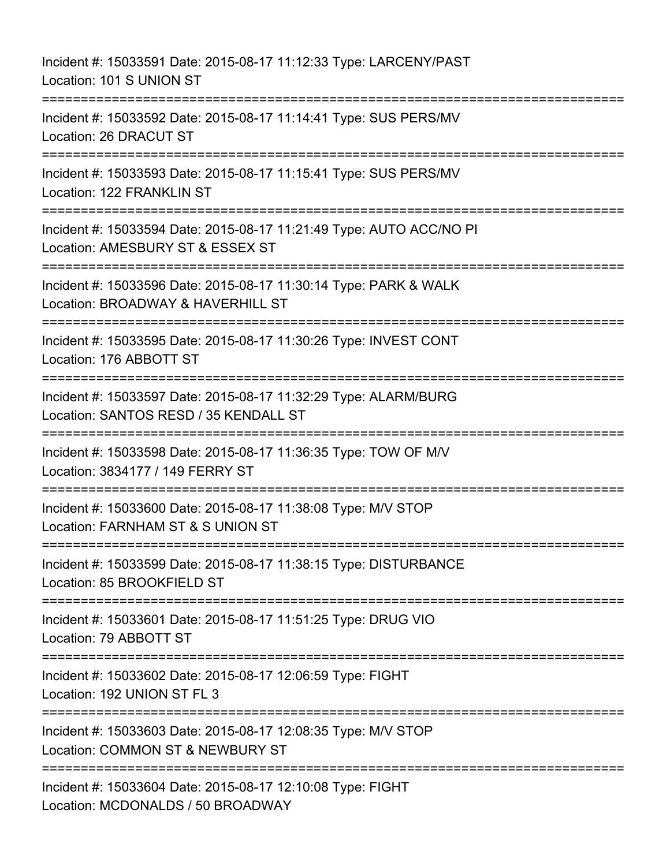Incident #: 15033591 Date: 2015-08-17 11:12:33 Type: LARCENY/PAST Location: 101 S UNION ST =========================================================================== Incident #: 15033592 Date: 2015-08-17 11:14:41 Type: SUS PERS/MV Location: 26 DRACUT ST =========================================================================== Incident #: 15033593 Date: 2015-08-17 11:15:41 Type: SUS PERS/MV Location: 122 FRANKLIN ST =========================================================================== Incident #: 15033594 Date: 2015-08-17 11:21:49 Type: AUTO ACC/NO PI Location: AMESBURY ST & ESSEX ST =========================================================================== Incident #: 15033596 Date: 2015-08-17 11:30:14 Type: PARK & WALK Location: BROADWAY & HAVERHILL ST =========================================================================== Incident #: 15033595 Date: 2015-08-17 11:30:26 Type: INVEST CONT Location: 176 ABBOTT ST =========================================================================== Incident #: 15033597 Date: 2015-08-17 11:32:29 Type: ALARM/BURG Location: SANTOS RESD / 35 KENDALL ST =========================================================================== Incident #: 15033598 Date: 2015-08-17 11:36:35 Type: TOW OF M/V Location: 3834177 / 149 FERRY ST =========================================================================== Incident #: 15033600 Date: 2015-08-17 11:38:08 Type: M/V STOP Location: FARNHAM ST & S UNION ST =========================================================================== Incident #: 15033599 Date: 2015-08-17 11:38:15 Type: DISTURBANCE Location: 85 BROOKFIELD ST =========================================================================== Incident #: 15033601 Date: 2015-08-17 11:51:25 Type: DRUG VIO Location: 79 ABBOTT ST =========================================================================== Incident #: 15033602 Date: 2015-08-17 12:06:59 Type: FIGHT Location: 192 UNION ST FL 3 =========================================================================== Incident #: 15033603 Date: 2015-08-17 12:08:35 Type: M/V STOP Location: COMMON ST & NEWBURY ST =========================================================================== Incident #: 15033604 Date: 2015-08-17 12:10:08 Type: FIGHT Location: MCDONALDS / 50 BROADWAY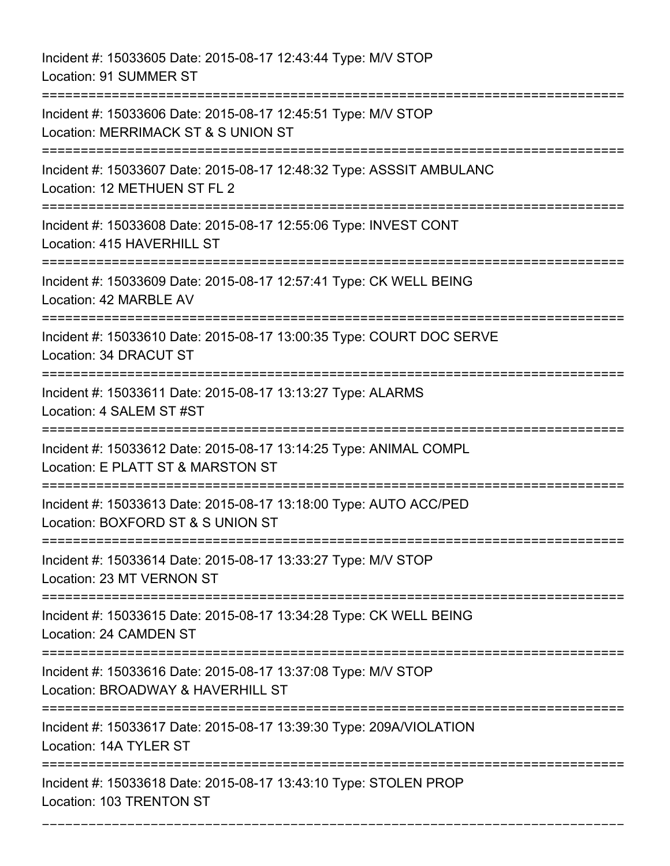Incident #: 15033605 Date: 2015-08-17 12:43:44 Type: M/V STOP Location: 91 SUMMER ST

=========================================================================== Incident #: 15033606 Date: 2015-08-17 12:45:51 Type: M/V STOP Location: MERRIMACK ST & S UNION ST =========================================================================== Incident #: 15033607 Date: 2015-08-17 12:48:32 Type: ASSSIT AMBULANC Location: 12 METHUEN ST FL 2 =========================================================================== Incident #: 15033608 Date: 2015-08-17 12:55:06 Type: INVEST CONT Location: 415 HAVERHILL ST =========================================================================== Incident #: 15033609 Date: 2015-08-17 12:57:41 Type: CK WELL BEING Location: 42 MARBLE AV =========================================================================== Incident #: 15033610 Date: 2015-08-17 13:00:35 Type: COURT DOC SERVE Location: 34 DRACUT ST =========================================================================== Incident #: 15033611 Date: 2015-08-17 13:13:27 Type: ALARMS Location: 4 SALEM ST #ST =========================================================================== Incident #: 15033612 Date: 2015-08-17 13:14:25 Type: ANIMAL COMPL Location: E PLATT ST & MARSTON ST =========================================================================== Incident #: 15033613 Date: 2015-08-17 13:18:00 Type: AUTO ACC/PED Location: BOXFORD ST & S UNION ST =========================================================================== Incident #: 15033614 Date: 2015-08-17 13:33:27 Type: M/V STOP Location: 23 MT VERNON ST =========================================================================== Incident #: 15033615 Date: 2015-08-17 13:34:28 Type: CK WELL BEING Location: 24 CAMDEN ST =========================================================================== Incident #: 15033616 Date: 2015-08-17 13:37:08 Type: M/V STOP Location: BROADWAY & HAVERHILL ST =========================================================================== Incident #: 15033617 Date: 2015-08-17 13:39:30 Type: 209A/VIOLATION Location: 14A TYLER ST =========================================================================== Incident #: 15033618 Date: 2015-08-17 13:43:10 Type: STOLEN PROP Location: 103 TRENTON ST

===========================================================================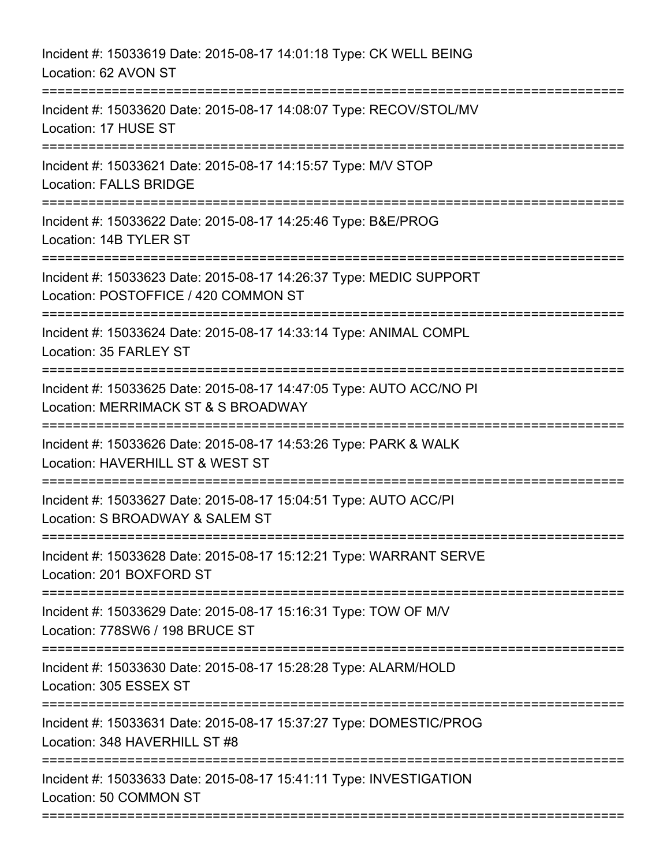| Incident #: 15033619 Date: 2015-08-17 14:01:18 Type: CK WELL BEING<br>Location: 62 AVON ST                                                                                                |
|-------------------------------------------------------------------------------------------------------------------------------------------------------------------------------------------|
| Incident #: 15033620 Date: 2015-08-17 14:08:07 Type: RECOV/STOL/MV<br>Location: 17 HUSE ST                                                                                                |
| Incident #: 15033621 Date: 2015-08-17 14:15:57 Type: M/V STOP<br><b>Location: FALLS BRIDGE</b>                                                                                            |
| Incident #: 15033622 Date: 2015-08-17 14:25:46 Type: B&E/PROG<br>Location: 14B TYLER ST                                                                                                   |
| Incident #: 15033623 Date: 2015-08-17 14:26:37 Type: MEDIC SUPPORT<br>Location: POSTOFFICE / 420 COMMON ST                                                                                |
| Incident #: 15033624 Date: 2015-08-17 14:33:14 Type: ANIMAL COMPL<br>Location: 35 FARLEY ST                                                                                               |
| Incident #: 15033625 Date: 2015-08-17 14:47:05 Type: AUTO ACC/NO PI<br>Location: MERRIMACK ST & S BROADWAY<br>----------------------------------<br>------------------------------------- |
| Incident #: 15033626 Date: 2015-08-17 14:53:26 Type: PARK & WALK<br>Location: HAVERHILL ST & WEST ST                                                                                      |
| Incident #: 15033627 Date: 2015-08-17 15:04:51 Type: AUTO ACC/PI<br>Location: S BROADWAY & SALEM ST                                                                                       |
| Incident #: 15033628 Date: 2015-08-17 15:12:21 Type: WARRANT SERVE<br>Location: 201 BOXFORD ST                                                                                            |
| Incident #: 15033629 Date: 2015-08-17 15:16:31 Type: TOW OF M/V<br>Location: 778SW6 / 198 BRUCE ST                                                                                        |
| Incident #: 15033630 Date: 2015-08-17 15:28:28 Type: ALARM/HOLD<br>Location: 305 ESSEX ST                                                                                                 |
| Incident #: 15033631 Date: 2015-08-17 15:37:27 Type: DOMESTIC/PROG<br>Location: 348 HAVERHILL ST #8                                                                                       |
| Incident #: 15033633 Date: 2015-08-17 15:41:11 Type: INVESTIGATION<br>Location: 50 COMMON ST                                                                                              |
|                                                                                                                                                                                           |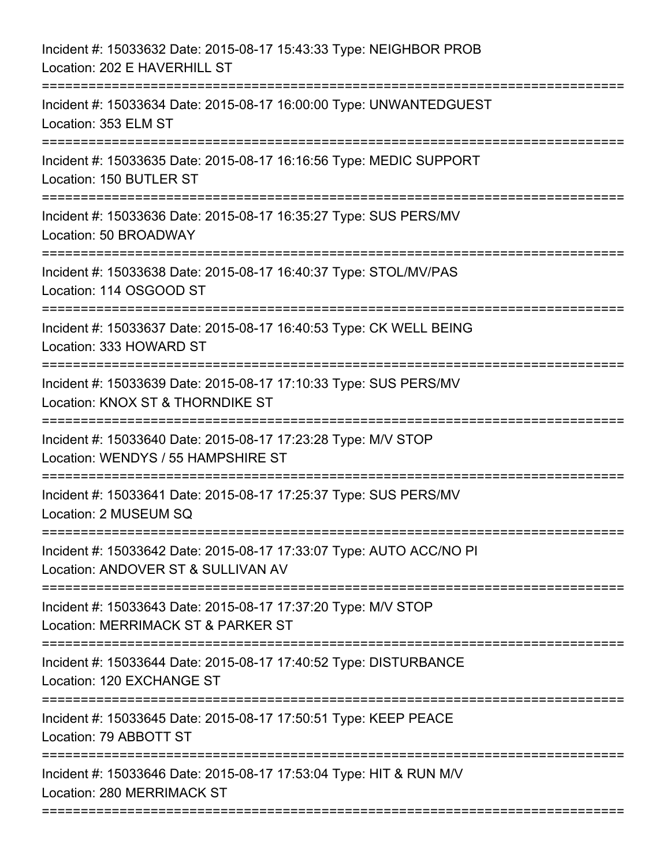| Incident #: 15033632 Date: 2015-08-17 15:43:33 Type: NEIGHBOR PROB<br>Location: 202 E HAVERHILL ST                              |
|---------------------------------------------------------------------------------------------------------------------------------|
| Incident #: 15033634 Date: 2015-08-17 16:00:00 Type: UNWANTEDGUEST<br>Location: 353 ELM ST                                      |
| Incident #: 15033635 Date: 2015-08-17 16:16:56 Type: MEDIC SUPPORT<br>Location: 150 BUTLER ST<br>============================== |
| Incident #: 15033636 Date: 2015-08-17 16:35:27 Type: SUS PERS/MV<br>Location: 50 BROADWAY                                       |
| Incident #: 15033638 Date: 2015-08-17 16:40:37 Type: STOL/MV/PAS<br>Location: 114 OSGOOD ST                                     |
| Incident #: 15033637 Date: 2015-08-17 16:40:53 Type: CK WELL BEING<br>Location: 333 HOWARD ST                                   |
| Incident #: 15033639 Date: 2015-08-17 17:10:33 Type: SUS PERS/MV<br>Location: KNOX ST & THORNDIKE ST                            |
| Incident #: 15033640 Date: 2015-08-17 17:23:28 Type: M/V STOP<br>Location: WENDYS / 55 HAMPSHIRE ST                             |
| Incident #: 15033641 Date: 2015-08-17 17:25:37 Type: SUS PERS/MV<br>Location: 2 MUSEUM SQ                                       |
| Incident #: 15033642 Date: 2015-08-17 17:33:07 Type: AUTO ACC/NO PI<br>Location: ANDOVER ST & SULLIVAN AV                       |
| Incident #: 15033643 Date: 2015-08-17 17:37:20 Type: M/V STOP<br>Location: MERRIMACK ST & PARKER ST                             |
| Incident #: 15033644 Date: 2015-08-17 17:40:52 Type: DISTURBANCE<br>Location: 120 EXCHANGE ST                                   |
| Incident #: 15033645 Date: 2015-08-17 17:50:51 Type: KEEP PEACE<br>Location: 79 ABBOTT ST                                       |
| Incident #: 15033646 Date: 2015-08-17 17:53:04 Type: HIT & RUN M/V<br>Location: 280 MERRIMACK ST                                |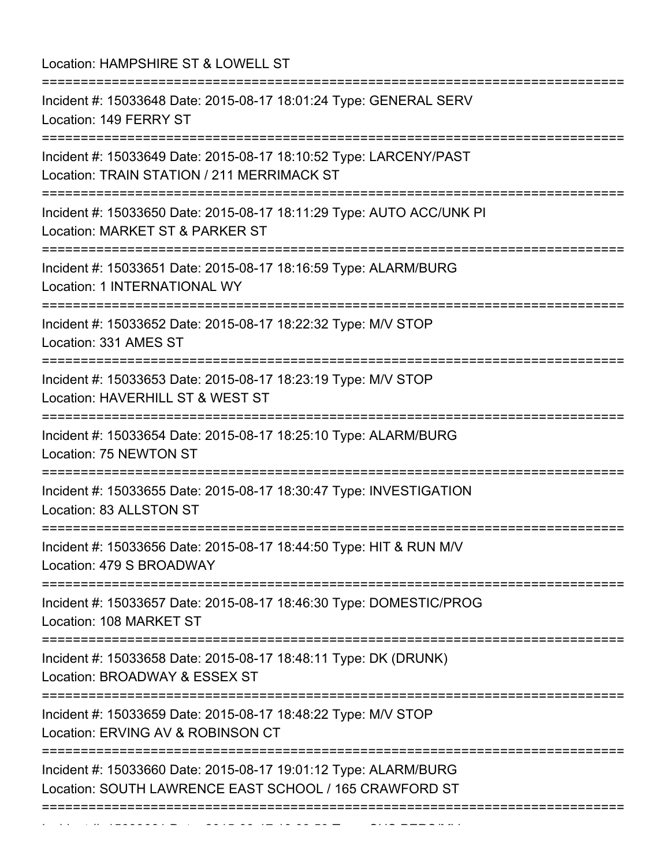Location: HAMPSHIRE ST & LOWELL ST

| Incident #: 15033648 Date: 2015-08-17 18:01:24 Type: GENERAL SERV<br>Location: 149 FERRY ST<br>Incident #: 15033649 Date: 2015-08-17 18:10:52 Type: LARCENY/PAST<br>Location: TRAIN STATION / 211 MERRIMACK ST<br>Incident #: 15033650 Date: 2015-08-17 18:11:29 Type: AUTO ACC/UNK PI<br>Location: MARKET ST & PARKER ST<br>Incident #: 15033651 Date: 2015-08-17 18:16:59 Type: ALARM/BURG<br>Location: 1 INTERNATIONAL WY<br>========================<br>Incident #: 15033652 Date: 2015-08-17 18:22:32 Type: M/V STOP<br>Location: 331 AMES ST<br>Incident #: 15033653 Date: 2015-08-17 18:23:19 Type: M/V STOP<br>Location: HAVERHILL ST & WEST ST<br>Incident #: 15033654 Date: 2015-08-17 18:25:10 Type: ALARM/BURG<br>Location: 75 NEWTON ST<br>Incident #: 15033655 Date: 2015-08-17 18:30:47 Type: INVESTIGATION<br>Location: 83 ALLSTON ST<br>Incident #: 15033657 Date: 2015-08-17 18:46:30 Type: DOMESTIC/PROG<br>Location: 108 MARKET ST |
|--------------------------------------------------------------------------------------------------------------------------------------------------------------------------------------------------------------------------------------------------------------------------------------------------------------------------------------------------------------------------------------------------------------------------------------------------------------------------------------------------------------------------------------------------------------------------------------------------------------------------------------------------------------------------------------------------------------------------------------------------------------------------------------------------------------------------------------------------------------------------------------------------------------------------------------------------------|
| Incident #: 15033656 Date: 2015-08-17 18:44:50 Type: HIT & RUN M/V<br>Location: 479 S BROADWAY                                                                                                                                                                                                                                                                                                                                                                                                                                                                                                                                                                                                                                                                                                                                                                                                                                                         |
|                                                                                                                                                                                                                                                                                                                                                                                                                                                                                                                                                                                                                                                                                                                                                                                                                                                                                                                                                        |
|                                                                                                                                                                                                                                                                                                                                                                                                                                                                                                                                                                                                                                                                                                                                                                                                                                                                                                                                                        |
|                                                                                                                                                                                                                                                                                                                                                                                                                                                                                                                                                                                                                                                                                                                                                                                                                                                                                                                                                        |
|                                                                                                                                                                                                                                                                                                                                                                                                                                                                                                                                                                                                                                                                                                                                                                                                                                                                                                                                                        |
|                                                                                                                                                                                                                                                                                                                                                                                                                                                                                                                                                                                                                                                                                                                                                                                                                                                                                                                                                        |
|                                                                                                                                                                                                                                                                                                                                                                                                                                                                                                                                                                                                                                                                                                                                                                                                                                                                                                                                                        |
|                                                                                                                                                                                                                                                                                                                                                                                                                                                                                                                                                                                                                                                                                                                                                                                                                                                                                                                                                        |
|                                                                                                                                                                                                                                                                                                                                                                                                                                                                                                                                                                                                                                                                                                                                                                                                                                                                                                                                                        |
|                                                                                                                                                                                                                                                                                                                                                                                                                                                                                                                                                                                                                                                                                                                                                                                                                                                                                                                                                        |
| Incident #: 15033658 Date: 2015-08-17 18:48:11 Type: DK (DRUNK)<br>Location: BROADWAY & ESSEX ST                                                                                                                                                                                                                                                                                                                                                                                                                                                                                                                                                                                                                                                                                                                                                                                                                                                       |
| Incident #: 15033659 Date: 2015-08-17 18:48:22 Type: M/V STOP<br>Location: ERVING AV & ROBINSON CT                                                                                                                                                                                                                                                                                                                                                                                                                                                                                                                                                                                                                                                                                                                                                                                                                                                     |
| Incident #: 15033660 Date: 2015-08-17 19:01:12 Type: ALARM/BURG<br>Location: SOUTH LAWRENCE EAST SCHOOL / 165 CRAWFORD ST                                                                                                                                                                                                                                                                                                                                                                                                                                                                                                                                                                                                                                                                                                                                                                                                                              |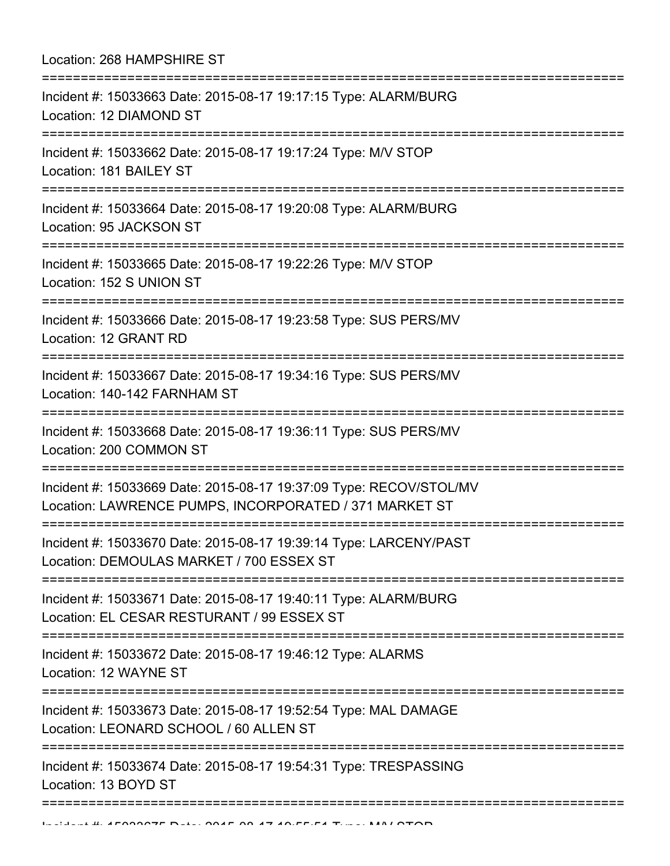| Location: 268 HAMPSHIRE ST                                                                                                    |
|-------------------------------------------------------------------------------------------------------------------------------|
| Incident #: 15033663 Date: 2015-08-17 19:17:15 Type: ALARM/BURG<br>Location: 12 DIAMOND ST                                    |
| Incident #: 15033662 Date: 2015-08-17 19:17:24 Type: M/V STOP<br>Location: 181 BAILEY ST                                      |
| Incident #: 15033664 Date: 2015-08-17 19:20:08 Type: ALARM/BURG<br>Location: 95 JACKSON ST                                    |
| Incident #: 15033665 Date: 2015-08-17 19:22:26 Type: M/V STOP<br>Location: 152 S UNION ST                                     |
| ================================<br>Incident #: 15033666 Date: 2015-08-17 19:23:58 Type: SUS PERS/MV<br>Location: 12 GRANT RD |
| Incident #: 15033667 Date: 2015-08-17 19:34:16 Type: SUS PERS/MV<br>Location: 140-142 FARNHAM ST                              |
| Incident #: 15033668 Date: 2015-08-17 19:36:11 Type: SUS PERS/MV<br>Location: 200 COMMON ST                                   |
| Incident #: 15033669 Date: 2015-08-17 19:37:09 Type: RECOV/STOL/MV<br>Location: LAWRENCE PUMPS, INCORPORATED / 371 MARKET ST  |
| Incident #: 15033670 Date: 2015-08-17 19:39:14 Type: LARCENY/PAST<br>Location: DEMOULAS MARKET / 700 ESSEX ST                 |
| Incident #: 15033671 Date: 2015-08-17 19:40:11 Type: ALARM/BURG<br>Location: EL CESAR RESTURANT / 99 ESSEX ST                 |
| Incident #: 15033672 Date: 2015-08-17 19:46:12 Type: ALARMS<br>Location: 12 WAYNE ST                                          |
| Incident #: 15033673 Date: 2015-08-17 19:52:54 Type: MAL DAMAGE<br>Location: LEONARD SCHOOL / 60 ALLEN ST                     |
| Incident #: 15033674 Date: 2015-08-17 19:54:31 Type: TRESPASSING<br>Location: 13 BOYD ST                                      |
| IN BUILDE AL AFOODOTE DELL OOAF OO AT AO FEEL TUNE LAALOTOD                                                                   |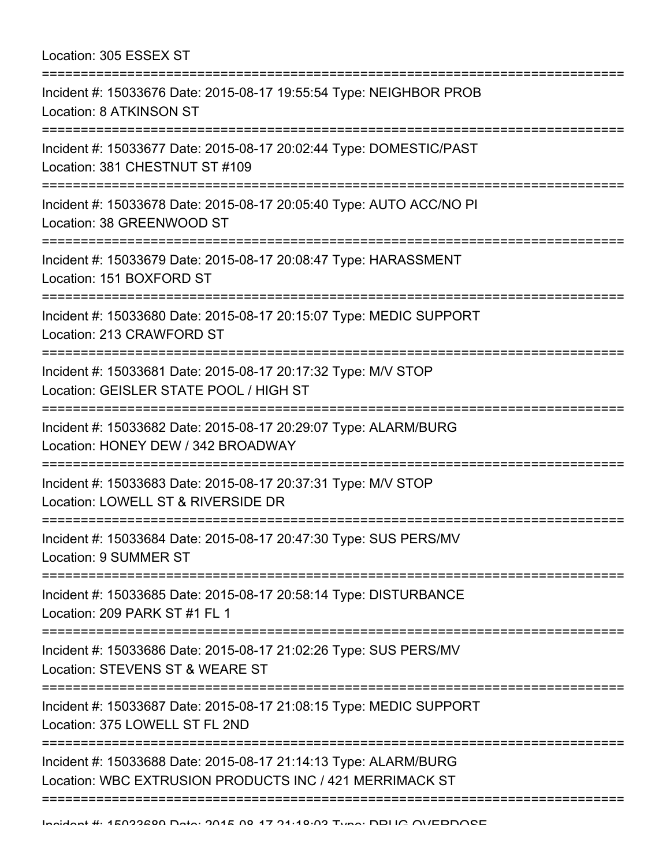| Location: 305 ESSEX ST<br>=================                                                                                                                                  |
|------------------------------------------------------------------------------------------------------------------------------------------------------------------------------|
| Incident #: 15033676 Date: 2015-08-17 19:55:54 Type: NEIGHBOR PROB<br>Location: 8 ATKINSON ST                                                                                |
| Incident #: 15033677 Date: 2015-08-17 20:02:44 Type: DOMESTIC/PAST<br>Location: 381 CHESTNUT ST #109                                                                         |
| Incident #: 15033678 Date: 2015-08-17 20:05:40 Type: AUTO ACC/NO PI<br>Location: 38 GREENWOOD ST<br>=====================                                                    |
| Incident #: 15033679 Date: 2015-08-17 20:08:47 Type: HARASSMENT<br>Location: 151 BOXFORD ST                                                                                  |
| Incident #: 15033680 Date: 2015-08-17 20:15:07 Type: MEDIC SUPPORT<br>Location: 213 CRAWFORD ST                                                                              |
| Incident #: 15033681 Date: 2015-08-17 20:17:32 Type: M/V STOP<br>Location: GEISLER STATE POOL / HIGH ST                                                                      |
| Incident #: 15033682 Date: 2015-08-17 20:29:07 Type: ALARM/BURG<br>Location: HONEY DEW / 342 BROADWAY<br>:============================<br>================================== |
| Incident #: 15033683 Date: 2015-08-17 20:37:31 Type: M/V STOP<br>Location: LOWELL ST & RIVERSIDE DR                                                                          |
| Incident #: 15033684 Date: 2015-08-17 20:47:30 Type: SUS PERS/MV<br>Location: 9 SUMMER ST                                                                                    |
| Incident #: 15033685 Date: 2015-08-17 20:58:14 Type: DISTURBANCE<br>Location: 209 PARK ST #1 FL 1                                                                            |
| Incident #: 15033686 Date: 2015-08-17 21:02:26 Type: SUS PERS/MV<br>Location: STEVENS ST & WEARE ST                                                                          |
| Incident #: 15033687 Date: 2015-08-17 21:08:15 Type: MEDIC SUPPORT<br>Location: 375 LOWELL ST FL 2ND                                                                         |
| Incident #: 15033688 Date: 2015-08-17 21:14:13 Type: ALARM/BURG<br>Location: WBC EXTRUSION PRODUCTS INC / 421 MERRIMACK ST                                                   |
|                                                                                                                                                                              |